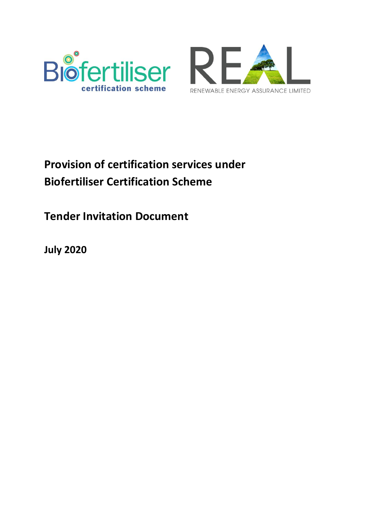



# **Provision of certification services under Biofertiliser Certification Scheme**

**Tender Invitation Document**

**July 2020**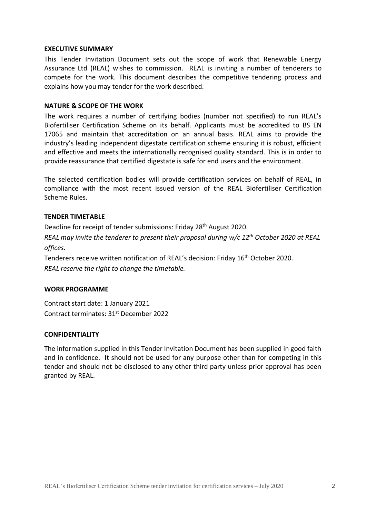#### **EXECUTIVE SUMMARY**

This Tender Invitation Document sets out the scope of work that Renewable Energy Assurance Ltd (REAL) wishes to commission. REAL is inviting a number of tenderers to compete for the work. This document describes the competitive tendering process and explains how you may tender for the work described.

### **NATURE & SCOPE OF THE WORK**

The work requires a number of certifying bodies (number not specified) to run REAL's Biofertiliser Certification Scheme on its behalf. Applicants must be accredited to BS EN 17065 and maintain that accreditation on an annual basis. REAL aims to provide the industry's leading independent digestate certification scheme ensuring it is robust, efficient and effective and meets the internationally recognised quality standard. This is in order to provide reassurance that certified digestate is safe for end users and the environment.

The selected certification bodies will provide certification services on behalf of REAL, in compliance with the most recent issued version of the REAL Biofertiliser Certification Scheme Rules.

#### **TENDER TIMETABLE**

Deadline for receipt of tender submissions: Friday 28th August 2020.

*REAL may invite the tenderer to present their proposal during w/c 12th October 2020 at REAL offices.*

Tenderers receive written notification of REAL's decision: Friday 16<sup>th</sup> October 2020. *REAL reserve the right to change the timetable.*

#### **WORK PROGRAMME**

Contract start date: 1 January 2021 Contract terminates: 31st December 2022

### **CONFIDENTIALITY**

The information supplied in this Tender Invitation Document has been supplied in good faith and in confidence. It should not be used for any purpose other than for competing in this tender and should not be disclosed to any other third party unless prior approval has been granted by REAL.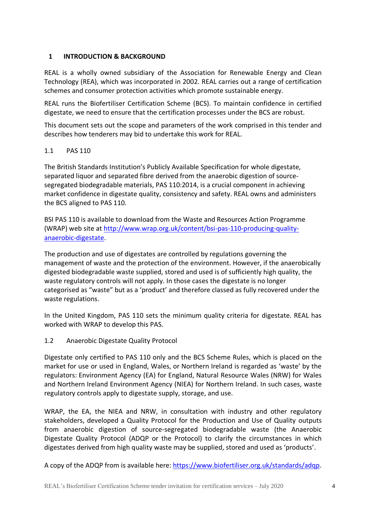# <span id="page-3-0"></span>**1 INTRODUCTION & BACKGROUND**

REAL is a wholly owned subsidiary of the Association for Renewable Energy and Clean Technology (REA), which was incorporated in 2002. REAL carries out a range of certification schemes and consumer protection activities which promote sustainable energy.

REAL runs the Biofertiliser Certification Scheme (BCS). To maintain confidence in certified digestate, we need to ensure that the certification processes under the BCS are robust.

This document sets out the scope and parameters of the work comprised in this tender and describes how tenderers may bid to undertake this work for REAL.

## 1.1 PAS 110

The British Standards Institution's Publicly Available Specification for whole digestate, separated liquor and separated fibre derived from the anaerobic digestion of sourcesegregated biodegradable materials, PAS 110:2014, is a crucial component in achieving market confidence in digestate quality, consistency and safety. REAL owns and administers the BCS aligned to PAS 110.

BSI PAS 110 is available to download from the Waste and Resources Action Programme (WRAP) web site a[t http://www.wrap.org.uk/content/bsi-pas-110-producing-quality](http://www.wrap.org.uk/content/bsi-pas-110-producing-quality-anaerobic-digestate)[anaerobic-digestate.](http://www.wrap.org.uk/content/bsi-pas-110-producing-quality-anaerobic-digestate)

The production and use of digestates are controlled by regulations governing the management of waste and the protection of the environment. However, if the anaerobically digested biodegradable waste supplied, stored and used is of sufficiently high quality, the waste regulatory controls will not apply. In those cases the digestate is no longer categorised as "waste" but as a 'product' and therefore classed as fully recovered under the waste regulations.

In the United Kingdom, PAS 110 sets the minimum quality criteria for digestate. REAL has worked with WRAP to develop this PAS.

1.2 Anaerobic Digestate Quality Protocol

Digestate only certified to PAS 110 only and the BCS Scheme Rules, which is placed on the market for use or used in England, Wales, or Northern Ireland is regarded as 'waste' by the regulators: Environment Agency (EA) for England, Natural Resource Wales (NRW) for Wales and Northern Ireland Environment Agency (NIEA) for Northern Ireland. In such cases, waste regulatory controls apply to digestate supply, storage, and use.

WRAP, the EA, the NIEA and NRW, in consultation with industry and other regulatory stakeholders, developed a Quality Protocol for the Production and Use of Quality outputs from anaerobic digestion of source-segregated biodegradable waste (the Anaerobic Digestate Quality Protocol (ADQP or the Protocol) to clarify the circumstances in which digestates derived from high quality waste may be supplied, stored and used as 'products'.

A copy of the ADQP from is available here: [https://www.biofertiliser.org.uk/standards/adqp.](https://www.biofertiliser.org.uk/standards/adqp)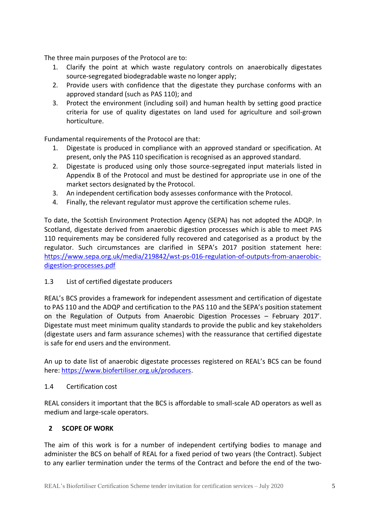The three main purposes of the Protocol are to:

- 1. Clarify the point at which waste regulatory controls on anaerobically digestates source-segregated biodegradable waste no longer apply;
- 2. Provide users with confidence that the digestate they purchase conforms with an approved standard (such as PAS 110); and
- 3. Protect the environment (including soil) and human health by setting good practice criteria for use of quality digestates on land used for agriculture and soil-grown horticulture.

Fundamental requirements of the Protocol are that:

- Digestate is produced in compliance with an approved standard or specification. At present, only the PAS 110 specification is recognised as an approved standard.
- 2. Digestate is produced using only those source-segregated input materials listed in Appendix B of the Protocol and must be destined for appropriate use in one of the market sectors designated by the Protocol.
- 3. An independent certification body assesses conformance with the Protocol.
- 4. Finally, the relevant regulator must approve the certification scheme rules.

To date, the Scottish Environment Protection Agency (SEPA) has not adopted the ADQP. In Scotland, digestate derived from anaerobic digestion processes which is able to meet PAS 110 requirements may be considered fully recovered and categorised as a product by the regulator. Such circumstances are clarified in SEPA's 2017 position statement here: [https://www.sepa.org.uk/media/219842/wst-ps-016-regulation-of-outputs-from-anaerobic](https://www.sepa.org.uk/media/219842/wst-ps-016-regulation-of-outputs-from-anaerobic-digestion-processes.pdf)[digestion-processes.pdf](https://www.sepa.org.uk/media/219842/wst-ps-016-regulation-of-outputs-from-anaerobic-digestion-processes.pdf)

## 1.3 List of certified digestate producers

REAL's BCS provides a framework for independent assessment and certification of digestate to PAS 110 and the ADQP and certification to the PAS 110 and the SEPA's position statement on the Regulation of Outputs from Anaerobic Digestion Processes – February 2017'. Digestate must meet minimum quality standards to provide the public and key stakeholders (digestate users and farm assurance schemes) with the reassurance that certified digestate is safe for end users and the environment.

An up to date list of anaerobic digestate processes registered on REAL's BCS can be found here: [https://www.biofertiliser.org.uk/producers.](https://www.biofertiliser.org.uk/producers)

### 1.4 Certification cost

REAL considers it important that the BCS is affordable to small-scale AD operators as well as medium and large-scale operators.

## <span id="page-4-0"></span>**2 SCOPE OF WORK**

The aim of this work is for a number of independent certifying bodies to manage and administer the BCS on behalf of REAL for a fixed period of two years (the Contract). Subject to any earlier termination under the terms of the Contract and before the end of the two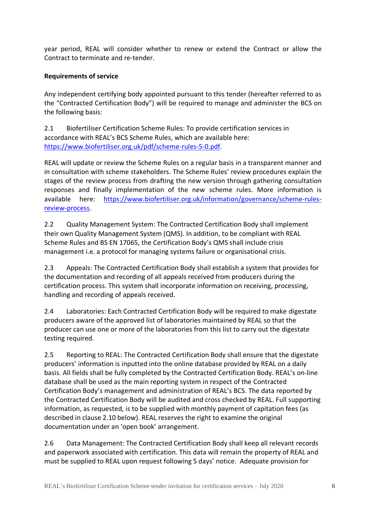year period, REAL will consider whether to renew or extend the Contract or allow the Contract to terminate and re-tender.

# **Requirements of service**

Any independent certifying body appointed pursuant to this tender (hereafter referred to as the "Contracted Certification Body") will be required to manage and administer the BCS on the following basis:

2.1 Biofertiliser Certification Scheme Rules: To provide certification services in accordance with REAL's BCS Scheme Rules, which are available here: [https://www.biofertiliser.org.uk/pdf/scheme-rules-5-0.pdf.](https://www.biofertiliser.org.uk/pdf/scheme-rules-5-0.pdf)

REAL will update or review the Scheme Rules on a regular basis in a transparent manner and in consultation with scheme stakeholders. The Scheme Rules' review procedures explain the stages of the review process from drafting the new version through gathering consultation responses and finally implementation of the new scheme rules. More information is available here: [https://www.biofertiliser.org.uk/information/governance/scheme-rules](https://www.biofertiliser.org.uk/information/governance/scheme-rules-review-process)[review-process.](https://www.biofertiliser.org.uk/information/governance/scheme-rules-review-process)

2.2 Quality Management System: The Contracted Certification Body shall implement their own Quality Management System (QMS). In addition, to be compliant with REAL Scheme Rules and BS EN 17065, the Certification Body's QMS shall include crisis management i.e. a protocol for managing systems failure or organisational crisis.

2.3 Appeals: The Contracted Certification Body shall establish a system that provides for the documentation and recording of all appeals received from producers during the certification process. This system shall incorporate information on receiving, processing, handling and recording of appeals received.

2.4 Laboratories: Each Contracted Certification Body will be required to make digestate producers aware of the approved list of laboratories maintained by REAL so that the producer can use one or more of the laboratories from this list to carry out the digestate testing required.

2.5 Reporting to REAL: The Contracted Certification Body shall ensure that the digestate producers' information is inputted into the online database provided by REAL on a daily basis. All fields shall be fully completed by the Contracted Certification Body. REAL's on-line database shall be used as the main reporting system in respect of the Contracted Certification Body's management and administration of REAL's BCS. The data reported by the Contracted Certification Body will be audited and cross checked by REAL. Full supporting information, as requested, is to be supplied with monthly payment of capitation fees (as described in clause 2.10 below). REAL reserves the right to examine the original documentation under an 'open book' arrangement.

2.6 Data Management: The Contracted Certification Body shall keep all relevant records and paperwork associated with certification. This data will remain the property of REAL and must be supplied to REAL upon request following 5 days' notice. Adequate provision for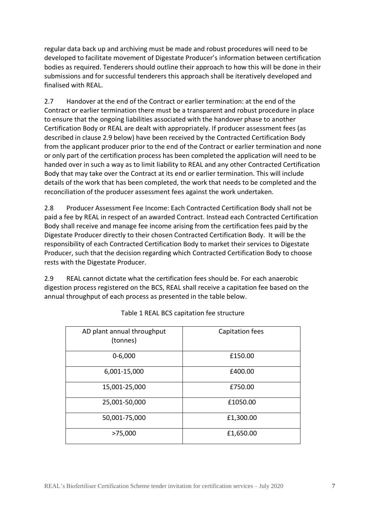regular data back up and archiving must be made and robust procedures will need to be developed to facilitate movement of Digestate Producer's information between certification bodies as required. Tenderers should outline their approach to how this will be done in their submissions and for successful tenderers this approach shall be iteratively developed and finalised with REAL.

2.7 Handover at the end of the Contract or earlier termination: at the end of the Contract or earlier termination there must be a transparent and robust procedure in place to ensure that the ongoing liabilities associated with the handover phase to another Certification Body or REAL are dealt with appropriately. If producer assessment fees (as described in clause 2.9 below) have been received by the Contracted Certification Body from the applicant producer prior to the end of the Contract or earlier termination and none or only part of the certification process has been completed the application will need to be handed over in such a way as to limit liability to REAL and any other Contracted Certification Body that may take over the Contract at its end or earlier termination. This will include details of the work that has been completed, the work that needs to be completed and the reconciliation of the producer assessment fees against the work undertaken.

2.8 Producer Assessment Fee Income: Each Contracted Certification Body shall not be paid a fee by REAL in respect of an awarded Contract. Instead each Contracted Certification Body shall receive and manage fee income arising from the certification fees paid by the Digestate Producer directly to their chosen Contracted Certification Body. It will be the responsibility of each Contracted Certification Body to market their services to Digestate Producer, such that the decision regarding which Contracted Certification Body to choose rests with the Digestate Producer.

2.9 REAL cannot dictate what the certification fees should be. For each anaerobic digestion process registered on the BCS, REAL shall receive a capitation fee based on the annual throughput of each process as presented in the table below.

| AD plant annual throughput<br>(tonnes) | Capitation fees |
|----------------------------------------|-----------------|
| $0 - 6,000$                            | £150.00         |
| 6,001-15,000                           | £400.00         |
| 15,001-25,000                          | £750.00         |
| 25,001-50,000                          | £1050.00        |
| 50,001-75,000                          | £1,300.00       |
| >75,000                                | £1,650.00       |

Table 1 REAL BCS capitation fee structure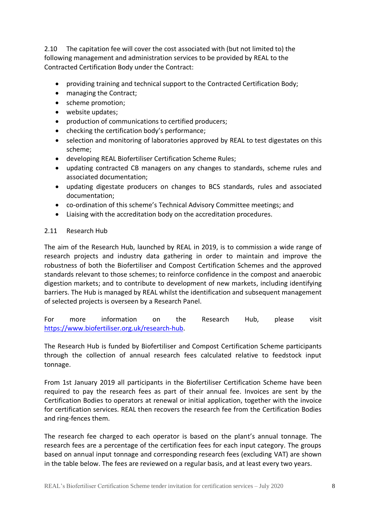2.10 The capitation fee will cover the cost associated with (but not limited to) the following management and administration services to be provided by REAL to the Contracted Certification Body under the Contract:

- providing training and technical support to the Contracted Certification Body;
- managing the Contract;
- scheme promotion;
- website updates;
- production of communications to certified producers;
- checking the certification body's performance;
- selection and monitoring of laboratories approved by REAL to test digestates on this scheme;
- developing REAL Biofertiliser Certification Scheme Rules;
- updating contracted CB managers on any changes to standards, scheme rules and associated documentation;
- updating digestate producers on changes to BCS standards, rules and associated documentation;
- co-ordination of this scheme's Technical Advisory Committee meetings; and
- Liaising with the accreditation body on the accreditation procedures.

## 2.11 Research Hub

The aim of the Research Hub, launched by REAL in 2019, is to commission a wide range of research projects and industry data gathering in order to maintain and improve the robustness of both the Biofertiliser and Compost Certification Schemes and the approved standards relevant to those schemes; to reinforce confidence in the compost and anaerobic digestion markets; and to contribute to development of new markets, including identifying barriers. The Hub is managed by REAL whilst the identification and subsequent management of selected projects is overseen by a Research Panel.

For more information on the Research Hub, please visit [https://www.biofertiliser.org.uk/research-hub.](https://www.biofertiliser.org.uk/research-hub)

The Research Hub is funded by Biofertiliser and Compost Certification Scheme participants through the collection of annual research fees calculated relative to feedstock input tonnage.

From 1st January 2019 all participants in the Biofertiliser Certification Scheme have been required to pay the research fees as part of their annual fee. Invoices are sent by the Certification Bodies to operators at renewal or initial application, together with the invoice for certification services. REAL then recovers the research fee from the Certification Bodies and ring-fences them.

The research fee charged to each operator is based on the plant's annual tonnage. The research fees are a percentage of the certification fees for each input category. The groups based on annual input tonnage and corresponding research fees (excluding VAT) are shown in the table below. The fees are reviewed on a regular basis, and at least every two years.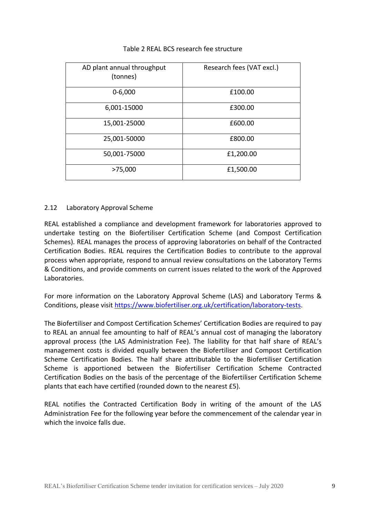| AD plant annual throughput<br>(tonnes) | Research fees (VAT excl.) |
|----------------------------------------|---------------------------|
| $0 - 6,000$                            | £100.00                   |
| 6,001-15000                            | £300.00                   |
| 15,001-25000                           | £600.00                   |
| 25,001-50000                           | £800.00                   |
| 50,001-75000                           | £1,200.00                 |
| >75,000                                | £1,500.00                 |

## Table 2 REAL BCS research fee structure

#### 2.12 Laboratory Approval Scheme

REAL established a compliance and development framework for laboratories approved to undertake testing on the Biofertiliser Certification Scheme (and Compost Certification Schemes). REAL manages the process of approving laboratories on behalf of the Contracted Certification Bodies. REAL requires the Certification Bodies to contribute to the approval process when appropriate, respond to annual review consultations on the Laboratory Terms & Conditions, and provide comments on current issues related to the work of the Approved Laboratories.

For more information on the Laboratory Approval Scheme (LAS) and Laboratory Terms & Conditions, please visit [https://www.biofertiliser.org.uk/certification/laboratory-tests.](https://www.biofertiliser.org.uk/certification/laboratory-tests)

The Biofertiliser and Compost Certification Schemes' Certification Bodies are required to pay to REAL an annual fee amounting to half of REAL's annual cost of managing the laboratory approval process (the LAS Administration Fee). The liability for that half share of REAL's management costs is divided equally between the Biofertiliser and Compost Certification Scheme Certification Bodies. The half share attributable to the Biofertiliser Certification Scheme is apportioned between the Biofertiliser Certification Scheme Contracted Certification Bodies on the basis of the percentage of the Biofertiliser Certification Scheme plants that each have certified (rounded down to the nearest £5).

REAL notifies the Contracted Certification Body in writing of the amount of the LAS Administration Fee for the following year before the commencement of the calendar year in which the invoice falls due.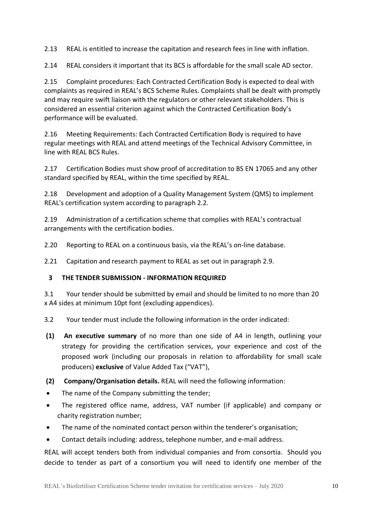2.13 REAL is entitled to increase the capitation and research fees in line with inflation.

2.14 REAL considers it important that its BCS is affordable for the small scale AD sector.

2.15 Complaint procedures: Each Contracted Certification Body is expected to deal with complaints as required in REAL's BCS Scheme Rules. Complaints shall be dealt with promptly and may require swift liaison with the regulators or other relevant stakeholders. This is considered an essential criterion against which the Contracted Certification Body's performance will be evaluated.

2.16 Meeting Requirements: Each Contracted Certification Body is required to have regular meetings with REAL and attend meetings of the Technical Advisory Committee, in line with REAL BCS Rules.

2.17 Certification Bodies must show proof of accreditation to BS EN 17065 and any other standard specified by REAL, within the time specified by REAL.

2.18 Development and adoption of a Quality Management System (QMS) to implement REAL's certification system according to paragraph 2.2.

2.19 Administration of a certification scheme that complies with REAL's contractual arrangements with the certification bodies.

2.20 Reporting to REAL on a continuous basis, via the REAL's on-line database.

2.21 Capitation and research payment to REAL as set out in paragraph 2.9.

# <span id="page-9-0"></span>**3 THE TENDER SUBMISSION - INFORMATION REQUIRED**

3.1 Your tender should be submitted by email and should be limited to no more than 20 x A4 sides at minimum 10pt font (excluding appendices).

3.2 Your tender must include the following information in the order indicated:

- **(1) An executive summary** of no more than one side of A4 in length, outlining your strategy for providing the certification services, your experience and cost of the proposed work (including our proposals in relation to affordability for small scale producers) **exclusive** of Value Added Tax ("VAT"),
- **(2) Company/Organisation details.** REAL will need the following information:
- The name of the Company submitting the tender;
- The registered office name, address, VAT number (if applicable) and company or charity registration number;
- The name of the nominated contact person within the tenderer's organisation;
- Contact details including: address, telephone number, and e-mail address.

REAL will accept tenders both from individual companies and from consortia. Should you decide to tender as part of a consortium you will need to identify one member of the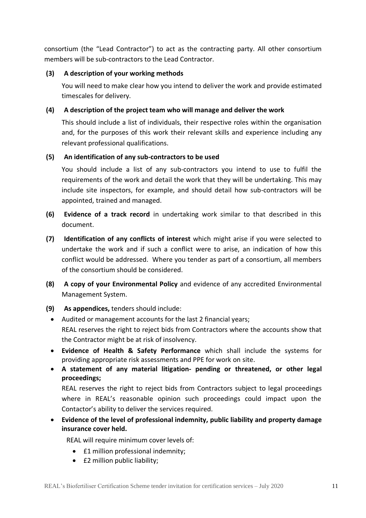consortium (the "Lead Contractor") to act as the contracting party. All other consortium members will be sub-contractors to the Lead Contractor.

## **(3) A description of your working methods**

You will need to make clear how you intend to deliver the work and provide estimated timescales for delivery.

# **(4) A description of the project team who will manage and deliver the work**

This should include a list of individuals, their respective roles within the organisation and, for the purposes of this work their relevant skills and experience including any relevant professional qualifications.

## **(5) An identification of any sub-contractors to be used**

You should include a list of any sub-contractors you intend to use to fulfil the requirements of the work and detail the work that they will be undertaking. This may include site inspectors, for example, and should detail how sub-contractors will be appointed, trained and managed.

- **(6) Evidence of a track record** in undertaking work similar to that described in this document.
- **(7) Identification of any conflicts of interest** which might arise if you were selected to undertake the work and if such a conflict were to arise, an indication of how this conflict would be addressed. Where you tender as part of a consortium, all members of the consortium should be considered.
- **(8) A copy of your Environmental Policy** and evidence of any accredited Environmental Management System.
- **(9) As appendices,** tenders should include:
	- Audited or management accounts for the last 2 financial years; REAL reserves the right to reject bids from Contractors where the accounts show that the Contractor might be at risk of insolvency.
	- **Evidence of Health & Safety Performance** which shall include the systems for providing appropriate risk assessments and PPE for work on site.
	- **A statement of any material litigation- pending or threatened, or other legal proceedings;**

REAL reserves the right to reject bids from Contractors subject to legal proceedings where in REAL's reasonable opinion such proceedings could impact upon the Contactor's ability to deliver the services required.

• **Evidence of the level of professional indemnity, public liability and property damage insurance cover held.**

REAL will require minimum cover levels of:

- £1 million professional indemnity;
- **£2 million public liability;**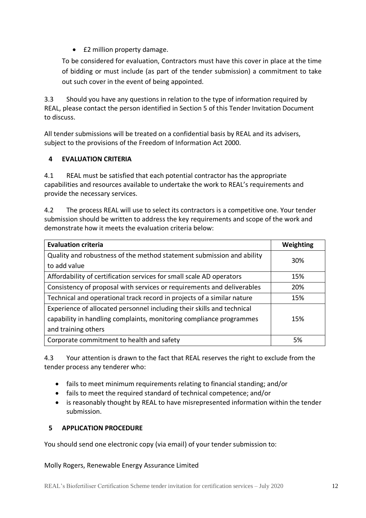• £2 million property damage.

To be considered for evaluation, Contractors must have this cover in place at the time of bidding or must include (as part of the tender submission) a commitment to take out such cover in the event of being appointed.

3.3 Should you have any questions in relation to the type of information required by REAL, please contact the person identified in Section 5 of this Tender Invitation Document to discuss.

All tender submissions will be treated on a confidential basis by REAL and its advisers, subject to the provisions of the Freedom of Information Act 2000.

# <span id="page-11-0"></span>**4 EVALUATION CRITERIA**

4.1 REAL must be satisfied that each potential contractor has the appropriate capabilities and resources available to undertake the work to REAL's requirements and provide the necessary services.

4.2 The process REAL will use to select its contractors is a competitive one. Your tender submission should be written to address the key requirements and scope of the work and demonstrate how it meets the evaluation criteria below:

| <b>Evaluation criteria</b>                                             | Weighting |
|------------------------------------------------------------------------|-----------|
| Quality and robustness of the method statement submission and ability  | 30%       |
| to add value                                                           |           |
| Affordability of certification services for small scale AD operators   | 15%       |
| Consistency of proposal with services or requirements and deliverables | 20%       |
| Technical and operational track record in projects of a similar nature | 15%       |
| Experience of allocated personnel including their skills and technical |           |
| capability in handling complaints, monitoring compliance programmes    | 15%       |
| and training others                                                    |           |
| Corporate commitment to health and safety                              | 5%        |

4.3 Your attention is drawn to the fact that REAL reserves the right to exclude from the tender process any tenderer who:

- fails to meet minimum requirements relating to financial standing; and/or
- fails to meet the required standard of technical competence; and/or
- is reasonably thought by REAL to have misrepresented information within the tender submission.

# <span id="page-11-1"></span>**5 APPLICATION PROCEDURE**

You should send one electronic copy (via email) of your tender submission to:

Molly Rogers, Renewable Energy Assurance Limited